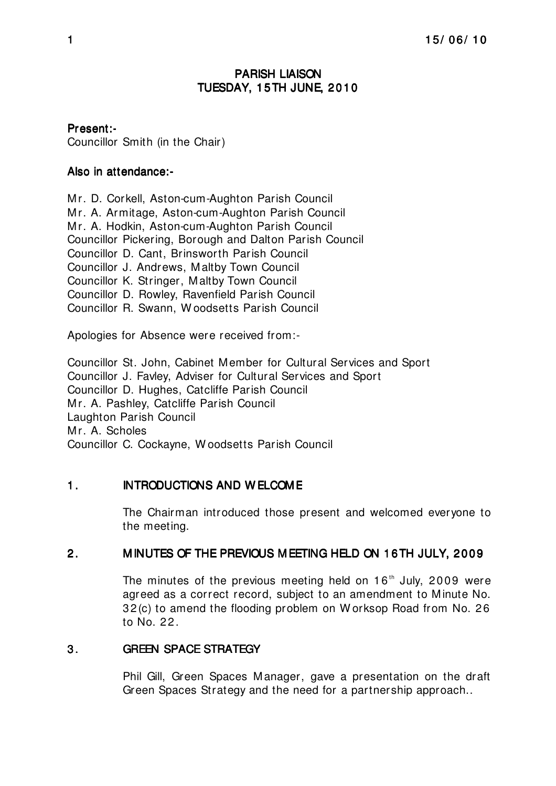# PARISH LIAISON TUESDAY, 15TH JUNE, 2010

# Present:-

Councillor Smith (in the Chair)

## Also in attendance:-

Mr. D. Corkell, Aston-cum-Aughton Parish Council Mr. A. Armitage, Aston-cum-Aughton Parish Council Mr. A. Hodkin, Aston-cum-Aughton Parish Council Councillor Pickering, Borough and Dalton Parish Council Councillor D. Cant, Brinsworth Parish Council Councillor J. Andrews, Maltby Town Council Councillor K. Stringer, Maltby Town Council Councillor D. Rowley, Ravenfield Parish Council Councillor R. Swann, W oodsetts Parish Council

Apologies for Absence were received from:-

Councillor St. John, Cabinet Member for Cultural Services and Sport Councillor J. Favley, Adviser for Cultural Services and Sport Councillor D. Hughes, Catcliffe Parish Council Mr. A. Pashley, Catcliffe Parish Council Laughton Parish Council Mr. A. Scholes Councillor C. Cockayne, W oodsetts Parish Council

## 1. INTRODUCTIONS AND W ELCOME

The Chairman introduced those present and welcomed everyone to the meeting.

## 2. MINUTES OF THE PREVIOUS MEETING HELD ON 16TH JULY, 2009

The minutes of the previous meeting held on  $16<sup>th</sup>$  July, 2009 were agreed as a correct record, subject to an amendment to Minute No. 32(c) to amend the flooding problem on W orksop Road from No. 26 to No. 22.

## 3. GREEN SPACE STRATEGY

Phil Gill, Green Spaces Manager, gave a presentation on the draft Green Spaces Strategy and the need for a partnership approach..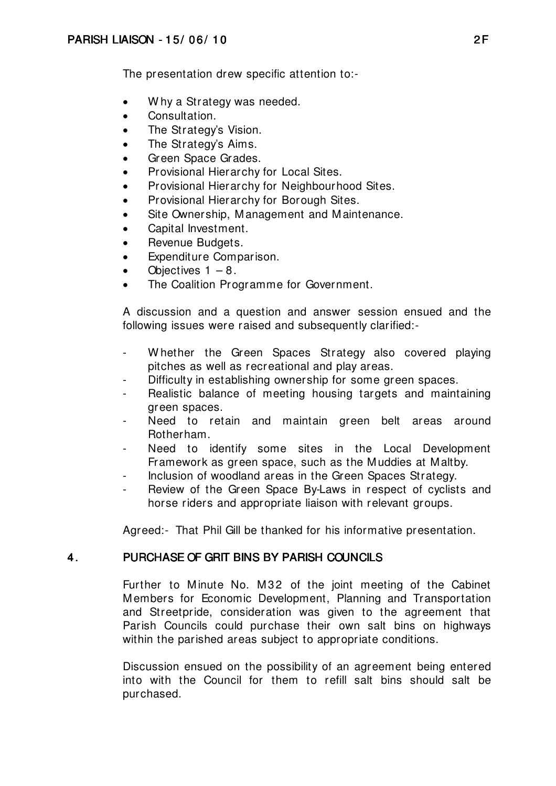The presentation drew specific attention to:-

- Why a Strategy was needed.
- Consultation.
- The Strategy's Vision.
- The Strategy's Aims.
- Green Space Grades.
- Provisional Hierarchy for Local Sites.
- Provisional Hierarchy for Neighbourhood Sites.
- Provisional Hierarchy for Borough Sites.
- Site Ownership, Management and Maintenance.
- Capital Investment.
- Revenue Budgets.
- Expenditure Comparison.
- Objectives  $1 8$ .
- The Coalition Programme for Government.

A discussion and a question and answer session ensued and the following issues were raised and subsequently clarified:-

- Whether the Green Spaces Strategy also covered playing pitches as well as recreational and play areas.
- Difficulty in establishing ownership for some green spaces.
- Realistic balance of meeting housing targets and maintaining green spaces.
- Need to retain and maintain green belt areas around Rotherham.
- Need to identify some sites in the Local Development Framework as green space, such as the Muddies at Maltby.
- Inclusion of woodland areas in the Green Spaces Strategy.
- Review of the Green Space By-Laws in respect of cyclists and horse riders and appropriate liaison with relevant groups.

Agreed:- That Phil Gill be thanked for his informative presentation.

## 4. PURCHASE OF GRIT BINS BY PARISH COUNCILS

Further to Minute No. M32 of the joint meeting of the Cabinet Members for Economic Development, Planning and Transportation and Streetpride, consideration was given to the agreement that Parish Councils could purchase their own salt bins on highways within the parished areas subject to appropriate conditions.

Discussion ensued on the possibility of an agreement being entered into with the Council for them to refill salt bins should salt be purchased.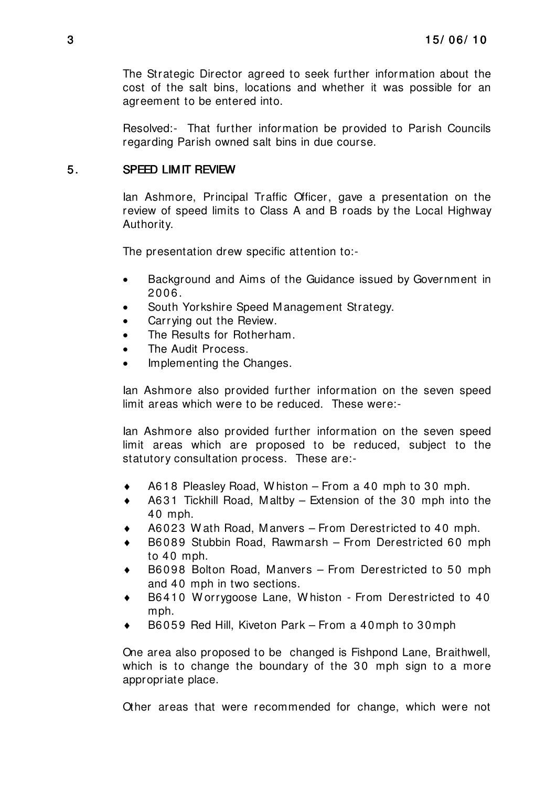The Strategic Director agreed to seek further information about the cost of the salt bins, locations and whether it was possible for an agreement to be entered into.

Resolved:- That further information be provided to Parish Councils regarding Parish owned salt bins in due course.

## 5. SPEED LIMIT REVIEW

Ian Ashmore, Principal Traffic Officer, gave a presentation on the review of speed limits to Class A and B roads by the Local Highway Authority.

The presentation drew specific attention to:-

- Background and Aims of the Guidance issued by Government in 2006.
- South Yorkshire Speed Management Strategy.
- Carrying out the Review.
- The Results for Rotherham.
- The Audit Process.
- Implementing the Changes.

Ian Ashmore also provided further information on the seven speed limit areas which were to be reduced. These were:-

Ian Ashmore also provided further information on the seven speed limit areas which are proposed to be reduced, subject to the statutory consultation process. These are:-

- A618 Pleasley Road, W histon From a 40 mph to 30 mph.
- A631 Tickhill Road, Maltby Extension of the 30 mph into the 40 mph.
- A6023 W ath Road, Manvers From Derestricted to 40 mph.
- B6089 Stubbin Road, Rawmarsh From Derestricted 60 mph to 40 mph.
- B6098 Bolton Road, Manvers From Derestricted to 50 mph and 40 mph in two sections.
- ♦ B6410 W orrygoose Lane, W histon From Derestricted to 40 mph.
- B6059 Red Hill, Kiveton Park From a 40mph to 30mph

One area also proposed to be changed is Fishpond Lane, Braithwell, which is to change the boundary of the 30 mph sign to a more appropriate place.

Other areas that were recommended for change, which were not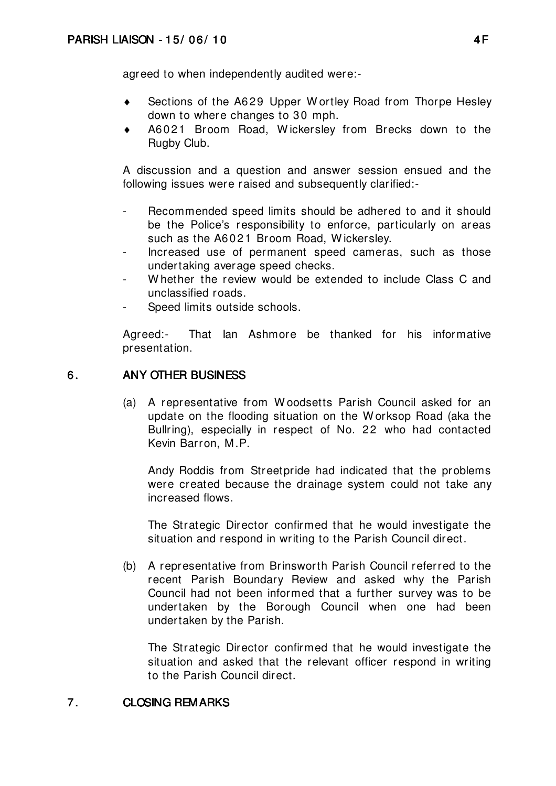agreed to when independently audited were:-

- ♦ Sections of the A629 Upper W ortley Road from Thorpe Hesley down to where changes to 30 mph.
- ♦ A6021 Broom Road, W ickersley from Brecks down to the Rugby Club.

A discussion and a question and answer session ensued and the following issues were raised and subsequently clarified:-

- Recommended speed limits should be adhered to and it should be the Police's responsibility to enforce, particularly on areas such as the A6021 Broom Road, W ickersley.
- Increased use of permanent speed cameras, such as those undertaking average speed checks.
- Whether the review would be extended to include Class C and unclassified roads.
- Speed limits outside schools.

Agreed:- That Ian Ashmore be thanked for his informative presentation.

## 6. ANY OTHER BUSINESS

(a) A representative from W oodsetts Parish Council asked for an update on the flooding situation on the W orksop Road (aka the Bullring), especially in respect of No. 22 who had contacted Kevin Barron, M.P.

 Andy Roddis from Streetpride had indicated that the problems were created because the drainage system could not take any increased flows.

 The Strategic Director confirmed that he would investigate the situation and respond in writing to the Parish Council direct.

(b) A representative from Brinsworth Parish Council referred to the recent Parish Boundary Review and asked why the Parish Council had not been informed that a further survey was to be undertaken by the Borough Council when one had been undertaken by the Parish.

 The Strategic Director confirmed that he would investigate the situation and asked that the relevant officer respond in writing to the Parish Council direct.

#### 7. CLOSING REMARKS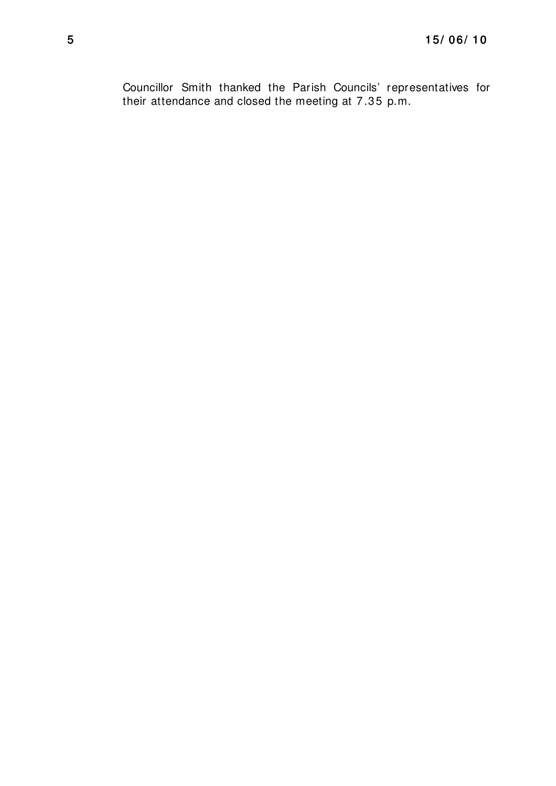Councillor Smith thanked the Parish Councils' representatives for their attendance and closed the meeting at 7.35 p.m.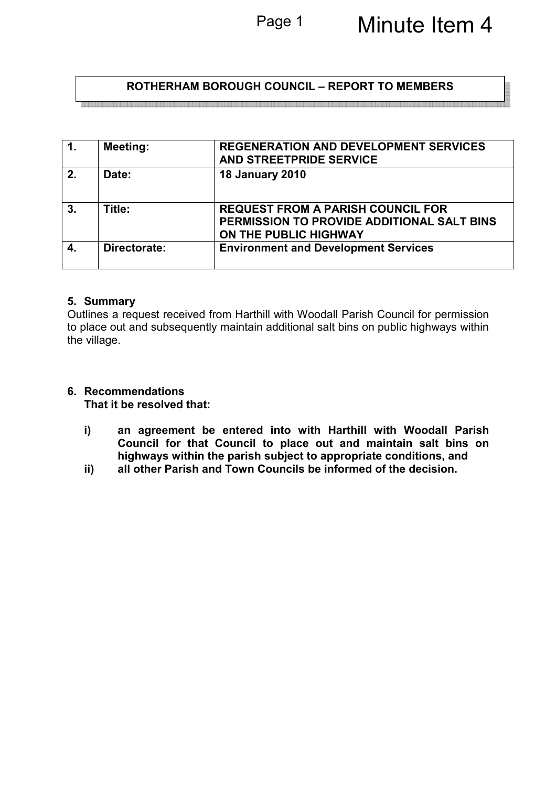## **ROTHERHAM BOROUGH COUNCIL – REPORT TO MEMBERS**

| $\mathbf{1}$ . | <b>Meeting:</b> | <b>REGENERATION AND DEVELOPMENT SERVICES</b><br>AND STREETPRIDE SERVICE                                         |
|----------------|-----------------|-----------------------------------------------------------------------------------------------------------------|
| 2.             | Date:           | <b>18 January 2010</b>                                                                                          |
| 3.             | Title:          | <b>REQUEST FROM A PARISH COUNCIL FOR</b><br>PERMISSION TO PROVIDE ADDITIONAL SALT BINS<br>ON THE PUBLIC HIGHWAY |
| 4.             | Directorate:    | <b>Environment and Development Services</b>                                                                     |

#### **5. Summary**

Outlines a request received from Harthill with Woodall Parish Council for permission to place out and subsequently maintain additional salt bins on public highways within the village.

# **6. Recommendations**

**That it be resolved that:** 

- **i) an agreement be entered into with Harthill with Woodall Parish Council for that Council to place out and maintain salt bins on highways within the parish subject to appropriate conditions, and**
- **ii) all other Parish and Town Councils be informed of the decision.**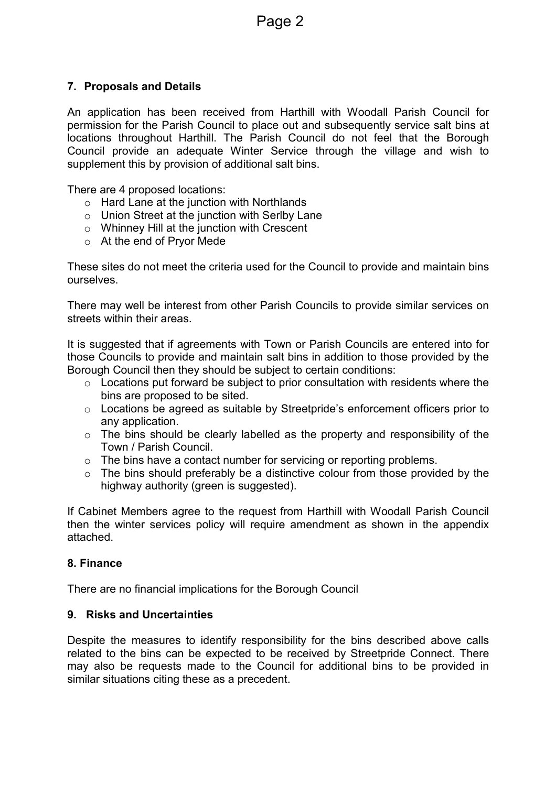#### **7. Proposals and Details**

An application has been received from Harthill with Woodall Parish Council for permission for the Parish Council to place out and subsequently service salt bins at locations throughout Harthill. The Parish Council do not feel that the Borough Council provide an adequate Winter Service through the village and wish to supplement this by provision of additional salt bins.

There are 4 proposed locations:

- o Hard Lane at the junction with Northlands
- o Union Street at the junction with Serlby Lane
- o Whinney Hill at the junction with Crescent
- o At the end of Pryor Mede

These sites do not meet the criteria used for the Council to provide and maintain bins ourselves.

There may well be interest from other Parish Councils to provide similar services on streets within their areas.

It is suggested that if agreements with Town or Parish Councils are entered into for those Councils to provide and maintain salt bins in addition to those provided by the Borough Council then they should be subject to certain conditions:

- $\circ$  Locations put forward be subject to prior consultation with residents where the bins are proposed to be sited.
- o Locations be agreed as suitable by Streetpride's enforcement officers prior to any application.
- o The bins should be clearly labelled as the property and responsibility of the Town / Parish Council.
- o The bins have a contact number for servicing or reporting problems.
- $\circ$  The bins should preferably be a distinctive colour from those provided by the highway authority (green is suggested).

If Cabinet Members agree to the request from Harthill with Woodall Parish Council then the winter services policy will require amendment as shown in the appendix attached.

#### **8. Finance**

There are no financial implications for the Borough Council

#### **9. Risks and Uncertainties**

Despite the measures to identify responsibility for the bins described above calls related to the bins can be expected to be received by Streetpride Connect. There may also be requests made to the Council for additional bins to be provided in similar situations citing these as a precedent.